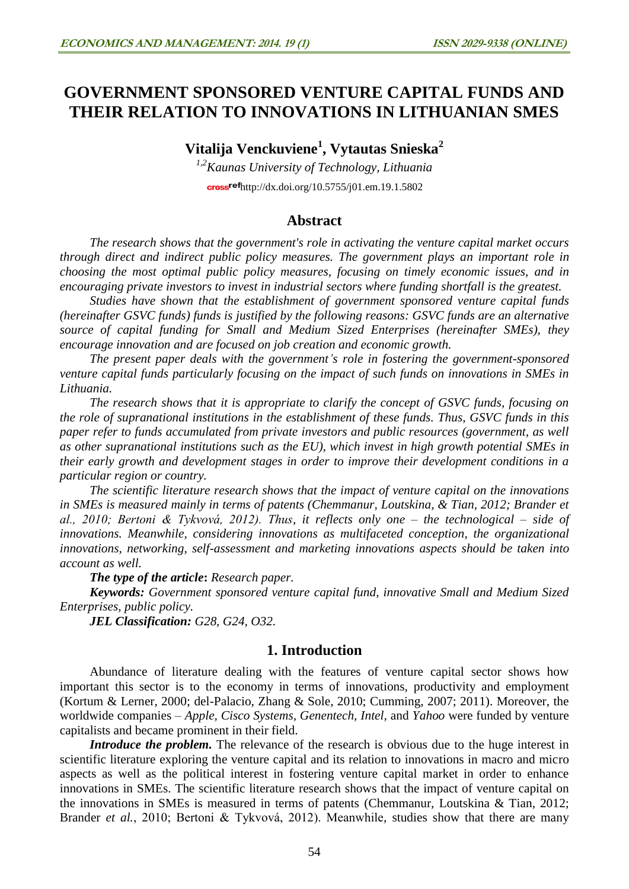# **GOVERNMENT SPONSORED VENTURE CAPITAL FUNDS AND THEIR RELATION TO INNOVATIONS IN LITHUANIAN SMES**

**Vitalija Venckuviene<sup>1</sup> , Vytautas Snieska<sup>2</sup>**

*1,2Kaunas University of Technology, Lithuania* cross<sup>ref</sup><http://dx.doi.org/10.5755/j01.em.19.1.5802>

### **Abstract**

*The research shows that the government's role in activating the venture capital market occurs through direct and indirect public policy measures. The government plays an important role in choosing the most optimal public policy measures, focusing on timely economic issues, and in encouraging private investors to invest in industrial sectors where funding shortfall is the greatest.* 

*Studies have shown that the establishment of government sponsored venture capital funds (hereinafter GSVC funds) funds is justified by the following reasons: GSVC funds are an alternative source of capital funding for Small and Medium Sized Enterprises (hereinafter SMEs), they encourage innovation and are focused on job creation and economic growth.* 

*The present paper deals with the government's role in fostering the government-sponsored venture capital funds particularly focusing on the impact of such funds on innovations in SMEs in Lithuania.*

*The research shows that it is appropriate to clarify the concept of GSVC funds, focusing on the role of supranational institutions in the establishment of these funds. Thus, GSVC funds in this paper refer to funds accumulated from private investors and public resources (government, as well as other supranational institutions such as the EU), which invest in high growth potential SMEs in their early growth and development stages in order to improve their development conditions in a particular region or country.*

*The scientific literature research shows that the impact of venture capital on the innovations in SMEs is measured mainly in terms of patents (Chemmanur, Loutskina, & Tian, 2012; Brander et al., 2010; Bertoni & Tykvová, 2012). Thus, it reflects only one – the technological – side of innovations. Meanwhile, considering innovations as multifaceted conception, the organizational innovations, networking, self-assessment and marketing innovations aspects should be taken into account as well.*

*The type of the article***:** *Research paper.*

*Keywords: Government sponsored venture capital fund, innovative Small and Medium Sized Enterprises, public policy.*

*JEL Classification: G28, G24, O32.*

### **1. Introduction**

Abundance of literature dealing with the features of venture capital sector shows how important this sector is to the economy in terms of innovations, productivity and employment (Kortum & Lerner, 2000; del-Palacio, Zhang & Sole, 2010; Cumming, 2007; 2011). Moreover, the worldwide companies – *Apple, Cisco Systems, Genentech, Intel,* and *Yahoo* were funded by venture capitalists and became prominent in their field.

*Introduce the problem.* The relevance of the research is obvious due to the huge interest in scientific literature exploring the venture capital and its relation to innovations in macro and micro aspects as well as the political interest in fostering venture capital market in order to enhance innovations in SMEs. The scientific literature research shows that the impact of venture capital on the innovations in SMEs is measured in terms of patents (Chemmanur, Loutskina & Tian, 2012; Brander *et al.*, 2010; Bertoni & Tykvová, 2012). Meanwhile, studies show that there are many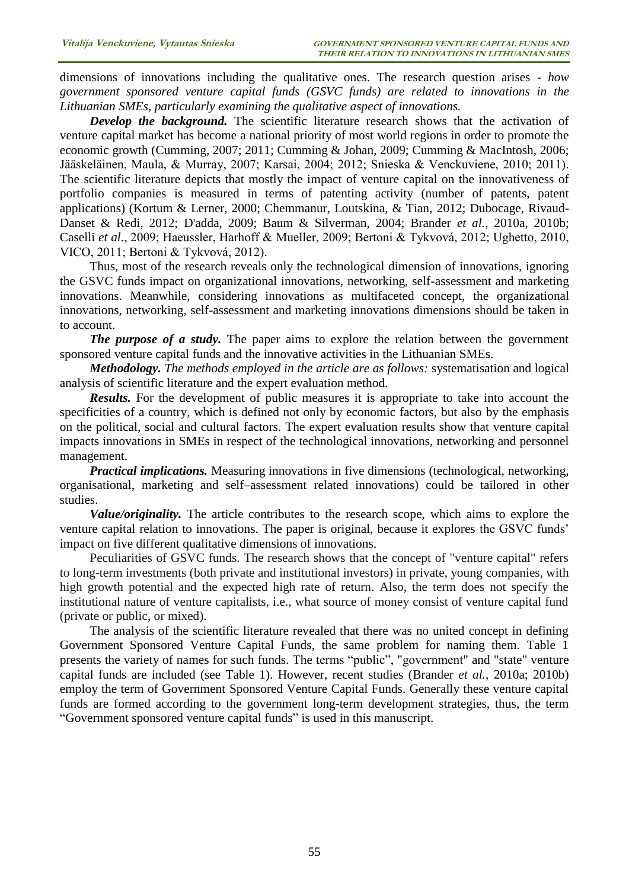dimensions of innovations including the qualitative ones. The research question arises - *how government sponsored venture capital funds (GSVC funds) are related to innovations in the Lithuanian SMEs, particularly examining the qualitative aspect of innovations.* 

*Develop the background.* The scientific literature research shows that the activation of venture capital market has become a national priority of most world regions in order to promote the economic growth (Cumming, 2007; 2011; Cumming & Johan, 2009; Cumming & MacIntosh, 2006; Jääskeläinen, Maula, & Murray, 2007; Karsai, 2004; 2012; Snieska & Venckuviene, 2010; 2011). The scientific literature depicts that mostly the impact of venture capital on the innovativeness of portfolio companies is measured in terms of patenting activity (number of patents, patent applications) (Kortum & Lerner, 2000; Chemmanur, Loutskina, & Tian, 2012; Dubocage, Rivaud-Danset & Redi, 2012; D'adda, 2009; Baum & Silverman, 2004; Brander *et al.*, 2010a, 2010b; Caselli *et al.*, 2009; Haeussler, Harhoff & Mueller, 2009; Bertoni & Tykvová, 2012; Ughetto, 2010, VICO, 2011; Bertoni & Tykvová, 2012).

Thus, most of the research reveals only the technological dimension of innovations, ignoring the GSVC funds impact on organizational innovations, networking, self-assessment and marketing innovations. Meanwhile, considering innovations as multifaceted concept, the organizational innovations, networking, self-assessment and marketing innovations dimensions should be taken in to account.

*The purpose of a study*. The paper aims to explore the relation between the government sponsored venture capital funds and the innovative activities in the Lithuanian SMEs.

*Methodology. The methods employed in the article are as follows:* systematisation and logical analysis of scientific literature and the expert evaluation method.

*Results.* For the development of public measures it is appropriate to take into account the specificities of a country, which is defined not only by economic factors, but also by the emphasis on the political, social and cultural factors. The expert evaluation results show that venture capital impacts innovations in SMEs in respect of the technological innovations, networking and personnel management.

*Practical implications.* Measuring innovations in five dimensions (technological, networking, organisational, marketing and self–assessment related innovations) could be tailored in other studies.

*Value/originality.* The article contributes to the research scope, which aims to explore the venture capital relation to innovations. The paper is original, because it explores the GSVC funds' impact on five different qualitative dimensions of innovations.

Peculiarities of GSVC funds. The research shows that the concept of "venture capital" refers to long-term investments (both private and institutional investors) in private, young companies, with high growth potential and the expected high rate of return. Also, the term does not specify the institutional nature of venture capitalists, i.e., what source of money consist of venture capital fund (private or public, or mixed).

The analysis of the scientific literature revealed that there was no united concept in defining Government Sponsored Venture Capital Funds, the same problem for naming them. Table 1 presents the variety of names for such funds. The terms "public", "government" and "state" venture capital funds are included (see Table 1). However, recent studies (Brander *et al.*, 2010a; 2010b) employ the term of Government Sponsored Venture Capital Funds. Generally these venture capital funds are formed according to the government long-term development strategies, thus, the term "Government sponsored venture capital funds" is used in this manuscript.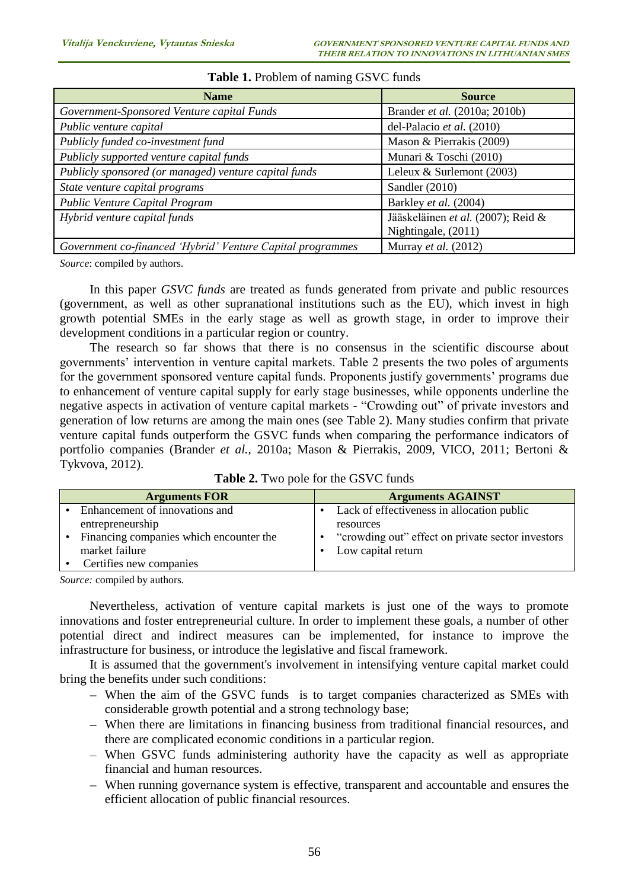| <b>Name</b>                                                | <b>Source</b>                        |
|------------------------------------------------------------|--------------------------------------|
| Government-Sponsored Venture capital Funds                 | Brander <i>et al.</i> (2010a; 2010b) |
| Public venture capital                                     | del-Palacio et al. (2010)            |
| Publicly funded co-investment fund                         | Mason & Pierrakis (2009)             |
| Publicly supported venture capital funds                   | Munari & Toschi (2010)               |
| Publicly sponsored (or managed) venture capital funds      | Leleux & Surlemont $(2003)$          |
| State venture capital programs                             | Sandler (2010)                       |
| Public Venture Capital Program                             | Barkley et al. (2004)                |
| Hybrid venture capital funds                               | Jääskeläinen et al. (2007); Reid &   |
|                                                            | Nightingale, (2011)                  |
| Government co-financed 'Hybrid' Venture Capital programmes | Murray et al. $(2012)$               |

### **Table 1.** Problem of naming GSVC funds

*Source*: compiled by authors.

In this paper *GSVC funds* are treated as funds generated from private and public resources (government, as well as other supranational institutions such as the EU), which invest in high growth potential SMEs in the early stage as well as growth stage, in order to improve their development conditions in a particular region or country.

The research so far shows that there is no consensus in the scientific discourse about governments' intervention in venture capital markets. Table 2 presents the two poles of arguments for the government sponsored venture capital funds. Proponents justify governments' programs due to enhancement of venture capital supply for early stage businesses, while opponents underline the negative aspects in activation of venture capital markets - "Crowding out" of private investors and generation of low returns are among the main ones (see Table 2). Many studies confirm that private venture capital funds outperform the GSVC funds when comparing the performance indicators of portfolio companies (Brander *et al.,* 2010a; Mason & Pierrakis, 2009, VICO, 2011; Bertoni & Tykvova, 2012).

| <b>Arguments FOR</b>                    | <b>Arguments AGAINST</b>                          |
|-----------------------------------------|---------------------------------------------------|
| Enhancement of innovations and          | Lack of effectiveness in allocation public        |
| entrepreneurship                        | resources                                         |
| Financing companies which encounter the | "crowding out" effect on private sector investors |
| market failure                          | Low capital return                                |
| Certifies new companies                 |                                                   |

*Source:* compiled by authors.

Nevertheless, activation of venture capital markets is just one of the ways to promote innovations and foster entrepreneurial culture. In order to implement these goals, a number of other potential direct and indirect measures can be implemented, for instance to improve the infrastructure for business, or introduce the legislative and fiscal framework.

It is assumed that the government's involvement in intensifying venture capital market could bring the benefits under such conditions:

- When the aim of the GSVC funds is to target companies characterized as SMEs with considerable growth potential and a strong technology base;
- When there are limitations in financing business from traditional financial resources, and there are complicated economic conditions in a particular region.
- When GSVC funds administering authority have the capacity as well as appropriate financial and human resources.
- When running governance system is effective, transparent and accountable and ensures the efficient allocation of public financial resources.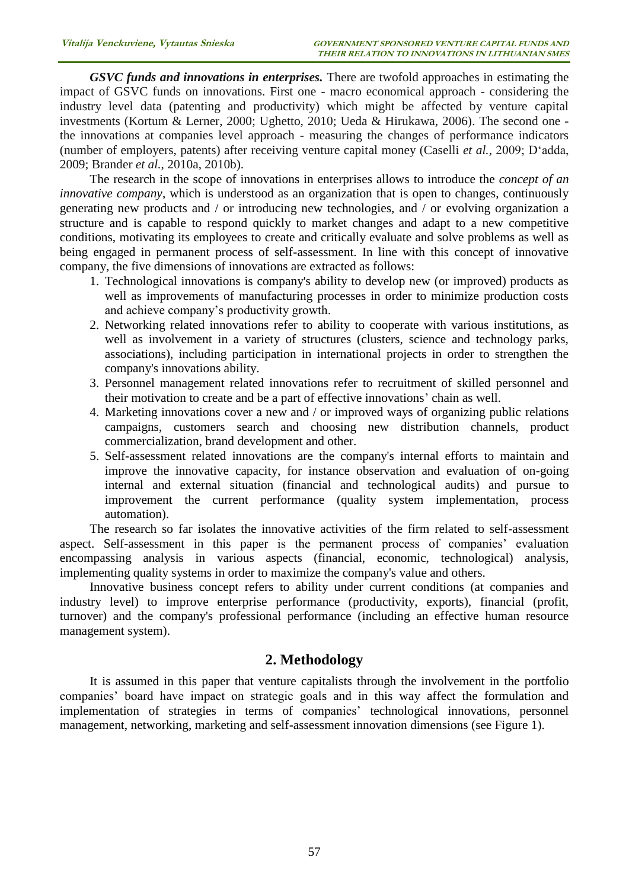*GSVC funds and innovations in enterprises.* There are twofold approaches in estimating the impact of GSVC funds on innovations. First one - macro economical approach - considering the industry level data (patenting and productivity) which might be affected by venture capital investments (Kortum & Lerner, 2000; Ughetto, 2010; Ueda & Hirukawa, 2006). The second one the innovations at companies level approach - measuring the changes of performance indicators (number of employers, patents) after receiving venture capital money (Caselli *et al.*, 2009; D'adda, 2009; Brander *et al.*, 2010a, 2010b).

The research in the scope of innovations in enterprises allows to introduce the *concept of an innovative company*, which is understood as an organization that is open to changes, continuously generating new products and / or introducing new technologies, and / or evolving organization a structure and is capable to respond quickly to market changes and adapt to a new competitive conditions, motivating its employees to create and critically evaluate and solve problems as well as being engaged in permanent process of self-assessment. In line with this concept of innovative company, the five dimensions of innovations are extracted as follows:

- 1. Technological innovations is company's ability to develop new (or improved) products as well as improvements of manufacturing processes in order to minimize production costs and achieve company's productivity growth.
- 2. Networking related innovations refer to ability to cooperate with various institutions, as well as involvement in a variety of structures (clusters, science and technology parks, associations), including participation in international projects in order to strengthen the company's innovations ability.
- 3. Personnel management related innovations refer to recruitment of skilled personnel and their motivation to create and be a part of effective innovations' chain as well.
- 4. Marketing innovations cover a new and / or improved ways of organizing public relations campaigns, customers search and choosing new distribution channels, product commercialization, brand development and other.
- 5. Self-assessment related innovations are the company's internal efforts to maintain and improve the innovative capacity, for instance observation and evaluation of on-going internal and external situation (financial and technological audits) and pursue to improvement the current performance (quality system implementation, process automation).

The research so far isolates the innovative activities of the firm related to self-assessment aspect. Self-assessment in this paper is the permanent process of companies' evaluation encompassing analysis in various aspects (financial, economic, technological) analysis, implementing quality systems in order to maximize the company's value and others.

Innovative business concept refers to ability under current conditions (at companies and industry level) to improve enterprise performance (productivity, exports), financial (profit, turnover) and the company's professional performance (including an effective human resource management system).

## **2. Methodology**

It is assumed in this paper that venture capitalists through the involvement in the portfolio companies' board have impact on strategic goals and in this way affect the formulation and implementation of strategies in terms of companies' technological innovations, personnel management, networking, marketing and self-assessment innovation dimensions (see Figure 1).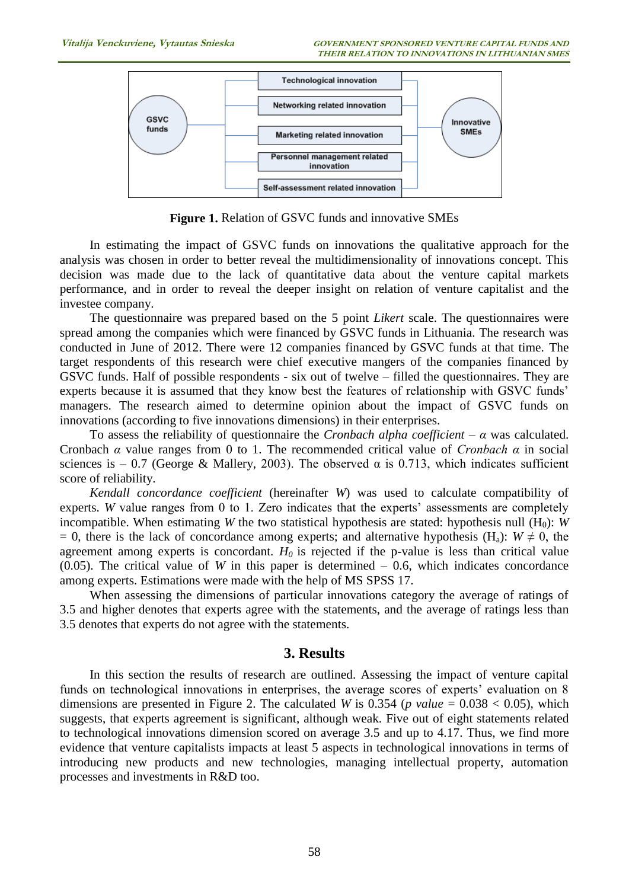

**Figure 1.** Relation of GSVC funds and innovative SMEs

In estimating the impact of GSVC funds on innovations the qualitative approach for the analysis was chosen in order to better reveal the multidimensionality of innovations concept. This decision was made due to the lack of quantitative data about the venture capital markets performance, and in order to reveal the deeper insight on relation of venture capitalist and the investee company.

The questionnaire was prepared based on the 5 point *Likert* scale. The questionnaires were spread among the companies which were financed by GSVC funds in Lithuania. The research was conducted in June of 2012. There were 12 companies financed by GSVC funds at that time. The target respondents of this research were chief executive mangers of the companies financed by GSVC funds. Half of possible respondents - six out of twelve – filled the questionnaires. They are experts because it is assumed that they know best the features of relationship with GSVC funds' managers. The research aimed to determine opinion about the impact of GSVC funds on innovations (according to five innovations dimensions) in their enterprises.

To assess the reliability of questionnaire the *Cronbach alpha coefficient* – *α* was calculated. Cronbach *α* value ranges from 0 to 1. The recommended critical value of *Cronbach α* in social sciences is – 0.7 (George & Mallery, 2003). The observed  $\alpha$  is 0.713, which indicates sufficient score of reliability.

*Kendall concordance coefficient* (hereinafter *W*) was used to calculate compatibility of experts. *W* value ranges from 0 to 1. Zero indicates that the experts' assessments are completely incompatible. When estimating *W* the two statistical hypothesis are stated: hypothesis null  $(H_0)$ : *W*  $= 0$ , there is the lack of concordance among experts; and alternative hypothesis (H<sub>a</sub>): *W*  $\neq$  0, the agreement among experts is concordant.  $H_0$  is rejected if the p-value is less than critical value  $(0.05)$ . The critical value of *W* in this paper is determined  $-0.6$ , which indicates concordance among experts. Estimations were made with the help of MS SPSS 17.

When assessing the dimensions of particular innovations category the average of ratings of 3.5 and higher denotes that experts agree with the statements, and the average of ratings less than 3.5 denotes that experts do not agree with the statements.

### **3. Results**

In this section the results of research are outlined. Assessing the impact of venture capital funds on technological innovations in enterprises, the average scores of experts' evaluation on 8 dimensions are presented in Figure 2. The calculated *W* is 0.354 (*p value* = 0.038  $<$  0.05), which suggests, that experts agreement is significant, although weak. Five out of eight statements related to technological innovations dimension scored on average 3.5 and up to 4.17. Thus, we find more evidence that venture capitalists impacts at least 5 aspects in technological innovations in terms of introducing new products and new technologies, managing intellectual property, automation processes and investments in R&D too.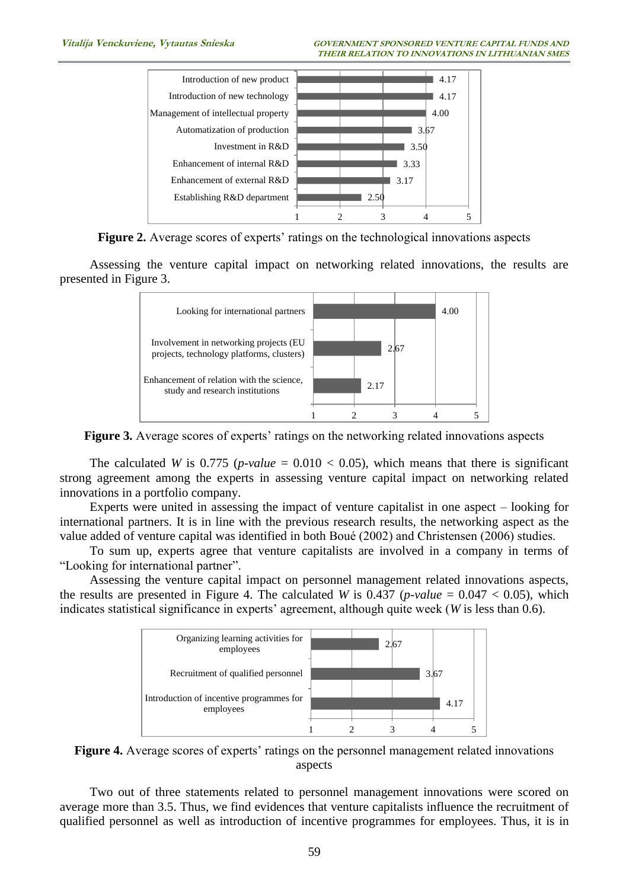

**Figure 2.** Average scores of experts' ratings on the technological innovations aspects

Assessing the venture capital impact on networking related innovations, the results are presented in Figure 3.



**Figure 3.** Average scores of experts' ratings on the networking related innovations aspects

The calculated *W* is 0.775 (*p-value* =  $0.010 < 0.05$ ), which means that there is significant strong agreement among the experts in assessing venture capital impact on networking related innovations in a portfolio company.

Experts were united in assessing the impact of venture capitalist in one aspect – looking for international partners. It is in line with the previous research results, the networking aspect as the value added of venture capital was identified in both Boué (2002) and Christensen (2006) studies.

To sum up, experts agree that venture capitalists are involved in a company in terms of "Looking for international partner".

Assessing the venture capital impact on personnel management related innovations aspects, the results are presented in Figure 4. The calculated *W* is 0.437 (*p-value* =  $0.047 < 0.05$ ), which indicates statistical significance in experts' agreement, although quite week (*W* is less than 0.6).



**Figure 4.** Average scores of experts' ratings on the personnel management related innovations aspects

Two out of three statements related to personnel management innovations were scored on average more than 3.5. Thus, we find evidences that venture capitalists influence the recruitment of qualified personnel as well as introduction of incentive programmes for employees. Thus, it is in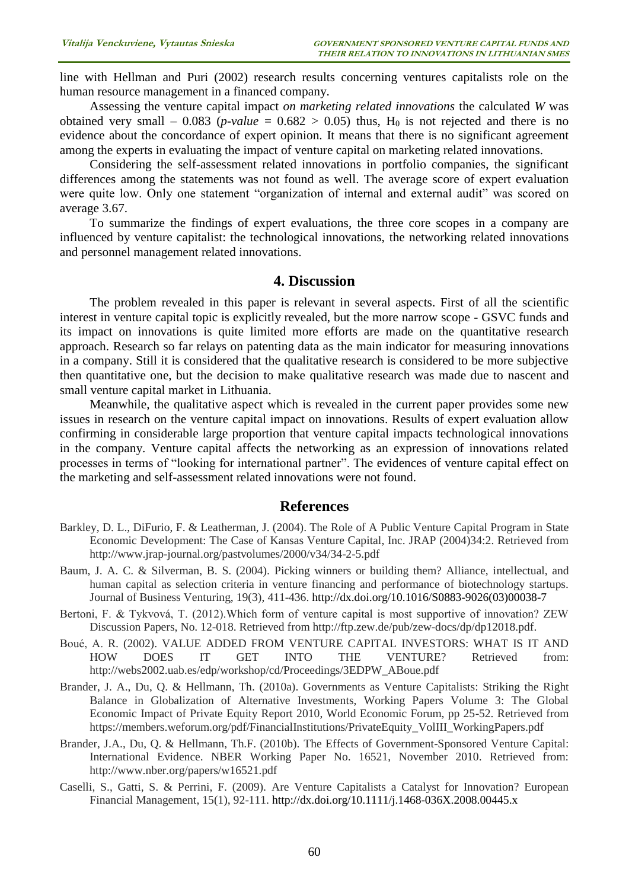line with Hellman and Puri (2002) research results concerning ventures capitalists role on the human resource management in a financed company.

Assessing the venture capital impact *on marketing related innovations* the calculated *W* was obtained very small – 0.083 (*p-value* =  $0.682 > 0.05$ ) thus, H<sub>0</sub> is not rejected and there is no evidence about the concordance of expert opinion. It means that there is no significant agreement among the experts in evaluating the impact of venture capital on marketing related innovations.

Considering the self-assessment related innovations in portfolio companies, the significant differences among the statements was not found as well. The average score of expert evaluation were quite low. Only one statement "organization of internal and external audit" was scored on average 3.67.

To summarize the findings of expert evaluations, the three core scopes in a company are influenced by venture capitalist: the technological innovations, the networking related innovations and personnel management related innovations.

#### **4. Discussion**

The problem revealed in this paper is relevant in several aspects. First of all the scientific interest in venture capital topic is explicitly revealed, but the more narrow scope - GSVC funds and its impact on innovations is quite limited more efforts are made on the quantitative research approach. Research so far relays on patenting data as the main indicator for measuring innovations in a company. Still it is considered that the qualitative research is considered to be more subjective then quantitative one, but the decision to make qualitative research was made due to nascent and small venture capital market in Lithuania.

Meanwhile, the qualitative aspect which is revealed in the current paper provides some new issues in research on the venture capital impact on innovations. Results of expert evaluation allow confirming in considerable large proportion that venture capital impacts technological innovations in the company. Venture capital affects the networking as an expression of innovations related processes in terms of "looking for international partner". The evidences of venture capital effect on the marketing and self-assessment related innovations were not found.

#### **References**

- Barkley, D. L., DiFurio, F. & Leatherman, J. (2004). The Role of A Public Venture Capital Program in State Economic Development: The Case of Kansas Venture Capital, Inc. JRAP (2004)34:2. Retrieved from <http://www.jrap-journal.org/pastvolumes/2000/v34/34-2-5.pdf>
- Baum, J. A. C. & Silverman, B. S. (2004). Picking winners or building them? Alliance, intellectual, and human capital as selection criteria in venture financing and performance of biotechnology startups. Journal of Business Venturing, 19(3), 411-436. [http://dx.doi.org/10.1016/S0883-9026\(03\)00038-7](http://dx.doi.org/10.1016/S0883-9026(03)00038-7)
- Bertoni, F. & Tykvová, T. (2012).Which form of venture capital is most supportive of innovation? ZEW Discussion Papers, No. 12-018. Retrieved from [http://ftp.zew.de/pub/zew-docs/dp/dp12018.pdf.](http://ftp.zew.de/pub/zew-docs/dp/dp12018.pdf)
- Boué, A. R. (2002). VALUE ADDED FROM VENTURE CAPITAL INVESTORS: WHAT IS IT AND HOW DOES IT GET INTO THE VENTURE? Retrieved from: [http://webs2002.uab.es/edp/workshop/cd/Proceedings/3EDPW\\_ABoue.pdf](http://webs2002.uab.es/edp/workshop/cd/Proceedings/3EDPW_ABoue.pdf)
- Brander, J. A., Du, Q. & Hellmann, Th. (2010a). Governments as Venture Capitalists: Striking the Right Balance in Globalization of Alternative Investments, Working Papers Volume 3: The Global Economic Impact of Private Equity Report 2010, World Economic Forum, pp 25-52. Retrieved from https://members.weforum.org/pdf/FinancialInstitutions/PrivateEquity\_VolIII\_WorkingPapers.pdf
- Brander, J.A., Du, Q. & Hellmann, Th.F. (2010b). The Effects of Government-Sponsored Venture Capital: International Evidence. NBER Working Paper No. 16521, November 2010. Retrieved from: <http://www.nber.org/papers/w16521.pdf>
- Caselli, S., Gatti, S. & Perrini, F. (2009). Are Venture Capitalists a Catalyst for Innovation? European Financial Management, 15(1), 92-111. <http://dx.doi.org/10.1111/j.1468-036X.2008.00445.x>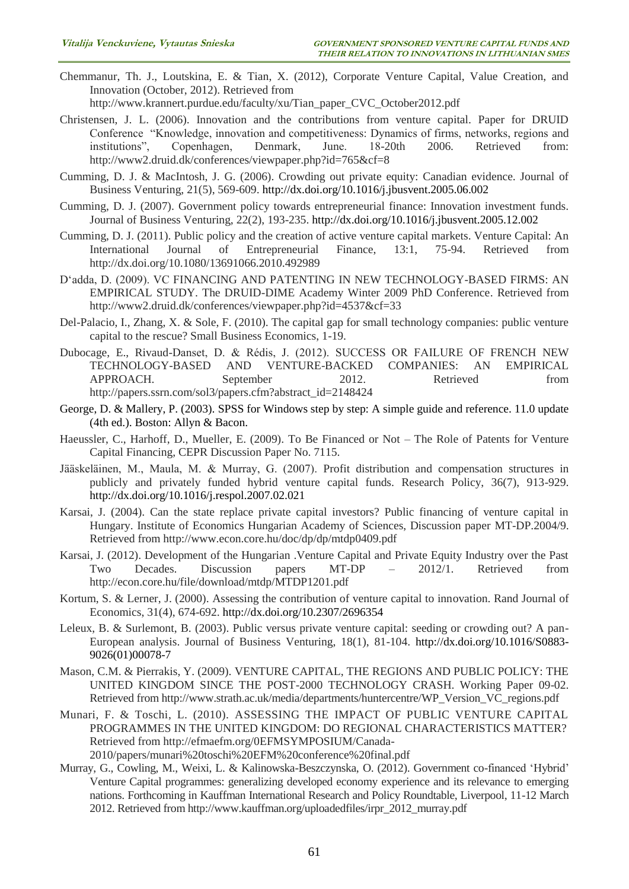Chemmanur, Th. J., Loutskina, E. & Tian, X. (2012), Corporate Venture Capital, Value Creation, and Innovation (October, 2012). Retrieved from

http://www.krannert.purdue.edu/faculty/xu/Tian\_paper\_CVC\_October2012.pdf

- Christensen, J. L. (2006). Innovation and the contributions from venture capital. Paper for DRUID Conference "Knowledge, innovation and competitiveness: Dynamics of firms, networks, regions and institutions", Copenhagen, Denmark, June. 18-20th 2006. Retrieved from: Copenhagen, Denmark, June. 18-20th 2006. Retrieved from: <http://www2.druid.dk/conferences/viewpaper.php?id=765&cf=8>
- Cumming, D. J. & MacIntosh, J. G. (2006). Crowding out private equity: Canadian evidence. Journal of Business Venturing, 21(5), 569-609. <http://dx.doi.org/10.1016/j.jbusvent.2005.06.002>
- Cumming, D. J. (2007). Government policy towards entrepreneurial finance: Innovation investment funds. Journal of Business Venturing, 22(2), 193-235. <http://dx.doi.org/10.1016/j.jbusvent.2005.12.002>
- Cumming, D. J. (2011). Public policy and the creation of active venture capital markets. Venture Capital: An International Journal of Entrepreneurial Finance, 13:1, 75-94. Retrieved from http://dx.doi.org/10.1080/13691066.2010.492989
- D'adda, D. (2009). VC FINANCING AND PATENTING IN NEW TECHNOLOGY-BASED FIRMS: AN EMPIRICAL STUDY. The DRUID-DIME Academy Winter 2009 PhD Conference. Retrieved from <http://www2.druid.dk/conferences/viewpaper.php?id=4537&cf=33>
- Del-Palacio, I., Zhang, X. & Sole, F. (2010). The capital gap for small technology companies: public venture capital to the rescue? Small Business Economics, 1-19.
- Dubocage, E., Rivaud-Danset, D. & Rédis, J. (2012). SUCCESS OR FAILURE OF FRENCH NEW TECHNOLOGY-BASED AND VENTURE-BACKED COMPANIES: AN EMPIRICAL APPROACH. September 2012. Retrieved from http://papers.ssrn.com/sol3/papers.cfm?abstract\_id=2148424
- George, D. & Mallery, P. (2003). SPSS for Windows step by step: A simple guide and reference. 11.0 update (4th ed.). Boston: Allyn & Bacon.
- Haeussler, C., Harhoff, D., Mueller, E. (2009). To Be Financed or Not The Role of Patents for Venture Capital Financing, CEPR Discussion Paper No. 7115.
- Jääskeläinen, M., Maula, M. & Murray, G. (2007). Profit distribution and compensation structures in publicly and privately funded hybrid venture capital funds. Research Policy, 36(7), 913-929. <http://dx.doi.org/10.1016/j.respol.2007.02.021>
- Karsai, J. (2004). Can the state replace private capital investors? Public financing of venture capital in Hungary. Institute of Economics Hungarian Academy of Sciences, Discussion paper MT-DP.2004/9. Retrieved from<http://www.econ.core.hu/doc/dp/dp/mtdp0409.pdf>
- Karsai, J. (2012). Development of the Hungarian .Venture Capital and Private Equity Industry over the Past Two Decades. Discussion papers MT-DP – 2012/1. Retrieved from <http://econ.core.hu/file/download/mtdp/MTDP1201.pdf>
- Kortum, S. & Lerner, J. (2000). Assessing the contribution of venture capital to innovation. Rand Journal of Economics, 31(4), 674-692. <http://dx.doi.org/10.2307/2696354>
- Leleux, B. & Surlemont, B. (2003). Public versus private venture capital: seeding or crowding out? A pan-European analysis. Journal of Business Venturing, 18(1), 81-104. [http://dx.doi.org/10.1016/S0883-](http://dx.doi.org/10.1016/S0883-9026(01)00078-7) [9026\(01\)00078-7](http://dx.doi.org/10.1016/S0883-9026(01)00078-7)
- Mason, C.M. & Pierrakis, Y. (2009). VENTURE CAPITAL, THE REGIONS AND PUBLIC POLICY: THE UNITED KINGDOM SINCE THE POST-2000 TECHNOLOGY CRASH. Working Paper 09-02. Retrieved from http://www.strath.ac.uk/media/departments/huntercentre/WP\_Version\_VC\_regions.pdf
- Munari, F. & Toschi, L. (2010). ASSESSING THE IMPACT OF PUBLIC VENTURE CAPITAL PROGRAMMES IN THE UNITED KINGDOM: DO REGIONAL CHARACTERISTICS MATTER? Retrieved from [http://efmaefm.org/0EFMSYMPOSIUM/Canada-](http://efmaefm.org/0EFMSYMPOSIUM/Canada-2010/papers/munari%20toschi%20EFM%20conference%20final.pdf)[2010/papers/munari%20toschi%20EFM%20conference%20final.pdf](http://efmaefm.org/0EFMSYMPOSIUM/Canada-2010/papers/munari%20toschi%20EFM%20conference%20final.pdf)
- Murray, G., Cowling, M., Weixi, L. & Kalinowska-Beszczynska, O. (2012). Government co-financed 'Hybrid' Venture Capital programmes: generalizing developed economy experience and its relevance to emerging nations. Forthcoming in Kauffman International Research and Policy Roundtable, Liverpool, 11-12 March 2012. Retrieved from http://www.kauffman.org/uploadedfiles/irpr\_2012\_murray.pdf